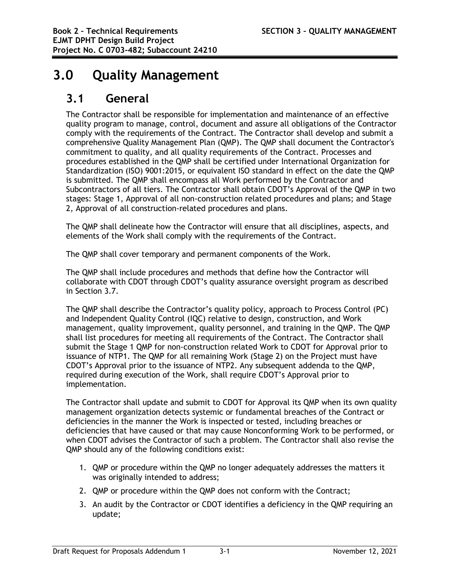# **3.0 Quality Management**

# **3.1 General**

The Contractor shall be responsible for implementation and maintenance of an effective quality program to manage, control, document and assure all obligations of the Contractor comply with the requirements of the Contract. The Contractor shall develop and submit a comprehensive Quality Management Plan (QMP). The QMP shall document the Contractor's commitment to quality, and all quality requirements of the Contract. Processes and procedures established in the QMP shall be certified under International Organization for Standardization (ISO) 9001:2015, or equivalent ISO standard in effect on the date the QMP is submitted. The QMP shall encompass all Work performed by the Contractor and Subcontractors of all tiers. The Contractor shall obtain CDOT's Approval of the QMP in two stages: Stage 1, Approval of all non-construction related procedures and plans; and Stage 2, Approval of all construction-related procedures and plans.

The QMP shall delineate how the Contractor will ensure that all disciplines, aspects, and elements of the Work shall comply with the requirements of the Contract.

The QMP shall cover temporary and permanent components of the Work.

The QMP shall include procedures and methods that define how the Contractor will collaborate with CDOT through CDOT's quality assurance oversight program as described in Section 3.7.

The QMP shall describe the Contractor's quality policy, approach to Process Control (PC) and Independent Quality Control (IQC) relative to design, construction, and Work management, quality improvement, quality personnel, and training in the QMP. The QMP shall list procedures for meeting all requirements of the Contract. The Contractor shall submit the Stage 1 QMP for non-construction related Work to CDOT for Approval prior to issuance of NTP1. The QMP for all remaining Work (Stage 2) on the Project must have CDOT's Approval prior to the issuance of NTP2. Any subsequent addenda to the QMP, required during execution of the Work, shall require CDOT's Approval prior to implementation.

The Contractor shall update and submit to CDOT for Approval its QMP when its own quality management organization detects systemic or fundamental breaches of the Contract or deficiencies in the manner the Work is inspected or tested, including breaches or deficiencies that have caused or that may cause Nonconforming Work to be performed, or when CDOT advises the Contractor of such a problem. The Contractor shall also revise the QMP should any of the following conditions exist:

- 1. QMP or procedure within the QMP no longer adequately addresses the matters it was originally intended to address;
- 2. QMP or procedure within the QMP does not conform with the Contract;
- 3. An audit by the Contractor or CDOT identifies a deficiency in the QMP requiring an update;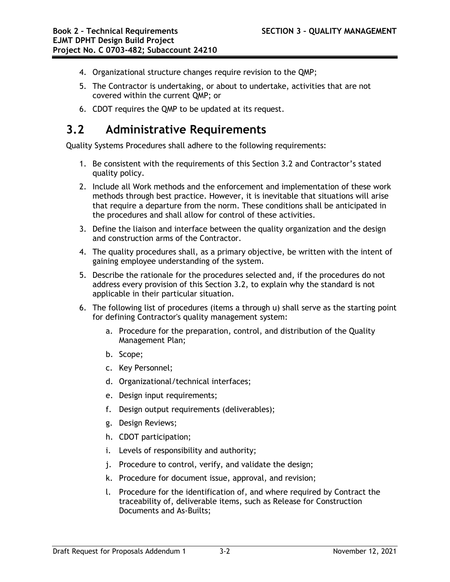- 4. Organizational structure changes require revision to the QMP;
- 5. The Contractor is undertaking, or about to undertake, activities that are not covered within the current QMP; or
- 6. CDOT requires the QMP to be updated at its request.

# **3.2 Administrative Requirements**

Quality Systems Procedures shall adhere to the following requirements:

- 1. Be consistent with the requirements of this Section 3.2 and Contractor's stated quality policy.
- 2. Include all Work methods and the enforcement and implementation of these work methods through best practice. However, it is inevitable that situations will arise that require a departure from the norm. These conditions shall be anticipated in the procedures and shall allow for control of these activities.
- 3. Define the liaison and interface between the quality organization and the design and construction arms of the Contractor.
- 4. The quality procedures shall, as a primary objective, be written with the intent of gaining employee understanding of the system.
- 5. Describe the rationale for the procedures selected and, if the procedures do not address every provision of this Section 3.2, to explain why the standard is not applicable in their particular situation.
- 6. The following list of procedures (items a through u) shall serve as the starting point for defining Contractor's quality management system:
	- a. Procedure for the preparation, control, and distribution of the Quality Management Plan;
	- b. Scope;
	- c. Key Personnel;
	- d. Organizational/technical interfaces;
	- e. Design input requirements;
	- f. Design output requirements (deliverables);
	- g. Design Reviews;
	- h. CDOT participation;
	- i. Levels of responsibility and authority;
	- j. Procedure to control, verify, and validate the design;
	- k. Procedure for document issue, approval, and revision;
	- l. Procedure for the identification of, and where required by Contract the traceability of, deliverable items, such as Release for Construction Documents and As-Builts;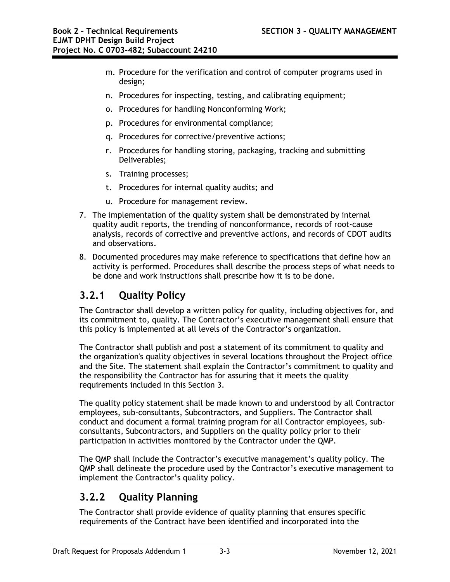- m. Procedure for the verification and control of computer programs used in design;
- n. Procedures for inspecting, testing, and calibrating equipment;
- o. Procedures for handling Nonconforming Work;
- p. Procedures for environmental compliance;
- q. Procedures for corrective/preventive actions;
- r. Procedures for handling storing, packaging, tracking and submitting Deliverables;
- s. Training processes;
- t. Procedures for internal quality audits; and
- u. Procedure for management review.
- 7. The implementation of the quality system shall be demonstrated by internal quality audit reports, the trending of nonconformance, records of root-cause analysis, records of corrective and preventive actions, and records of CDOT audits and observations.
- 8. Documented procedures may make reference to specifications that define how an activity is performed. Procedures shall describe the process steps of what needs to be done and work instructions shall prescribe how it is to be done.

## **3.2.1 Quality Policy**

The Contractor shall develop a written policy for quality, including objectives for, and its commitment to, quality. The Contractor's executive management shall ensure that this policy is implemented at all levels of the Contractor's organization.

The Contractor shall publish and post a statement of its commitment to quality and the organization's quality objectives in several locations throughout the Project office and the Site. The statement shall explain the Contractor's commitment to quality and the responsibility the Contractor has for assuring that it meets the quality requirements included in this Section 3.

The quality policy statement shall be made known to and understood by all Contractor employees, sub-consultants, Subcontractors, and Suppliers. The Contractor shall conduct and document a formal training program for all Contractor employees, subconsultants, Subcontractors, and Suppliers on the quality policy prior to their participation in activities monitored by the Contractor under the QMP.

The QMP shall include the Contractor's executive management's quality policy. The QMP shall delineate the procedure used by the Contractor's executive management to implement the Contractor's quality policy.

## **3.2.2 Quality Planning**

The Contractor shall provide evidence of quality planning that ensures specific requirements of the Contract have been identified and incorporated into the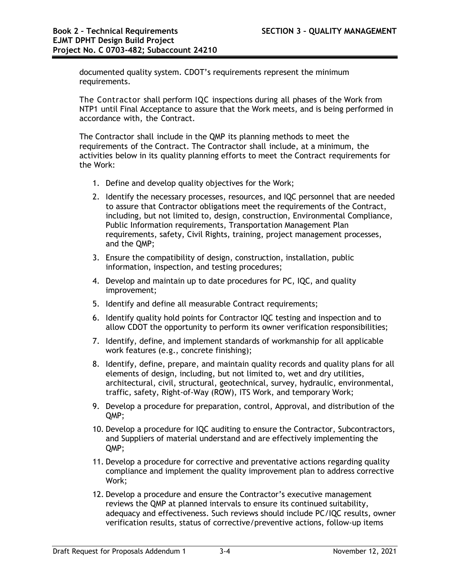documented quality system. CDOT's requirements represent the minimum requirements.

The Contractor shall perform IQC inspections during all phases of the Work from NTP1 until Final Acceptance to assure that the Work meets, and is being performed in accordance with, the Contract.

The Contractor shall include in the QMP its planning methods to meet the requirements of the Contract. The Contractor shall include, at a minimum, the activities below in its quality planning efforts to meet the Contract requirements for the Work:

- 1. Define and develop quality objectives for the Work;
- 2. Identify the necessary processes, resources, and IQC personnel that are needed to assure that Contractor obligations meet the requirements of the Contract, including, but not limited to, design, construction, Environmental Compliance, Public Information requirements, Transportation Management Plan requirements, safety, Civil Rights, training, project management processes, and the QMP;
- 3. Ensure the compatibility of design, construction, installation, public information, inspection, and testing procedures;
- 4. Develop and maintain up to date procedures for PC, IQC, and quality improvement;
- 5. Identify and define all measurable Contract requirements;
- 6. Identify quality hold points for Contractor IQC testing and inspection and to allow CDOT the opportunity to perform its owner verification responsibilities;
- 7. Identify, define, and implement standards of workmanship for all applicable work features (e.g., concrete finishing);
- 8. Identify, define, prepare, and maintain quality records and quality plans for all elements of design, including, but not limited to, wet and dry utilities, architectural, civil, structural, geotechnical, survey, hydraulic, environmental, traffic, safety, Right-of-Way (ROW), ITS Work, and temporary Work;
- 9. Develop a procedure for preparation, control, Approval, and distribution of the QMP;
- 10. Develop a procedure for IQC auditing to ensure the Contractor, Subcontractors, and Suppliers of material understand and are effectively implementing the QMP;
- 11. Develop a procedure for corrective and preventative actions regarding quality compliance and implement the quality improvement plan to address corrective Work;
- 12. Develop a procedure and ensure the Contractor's executive management reviews the QMP at planned intervals to ensure its continued suitability, adequacy and effectiveness. Such reviews should include PC/IQC results, owner verification results, status of corrective/preventive actions, follow-up items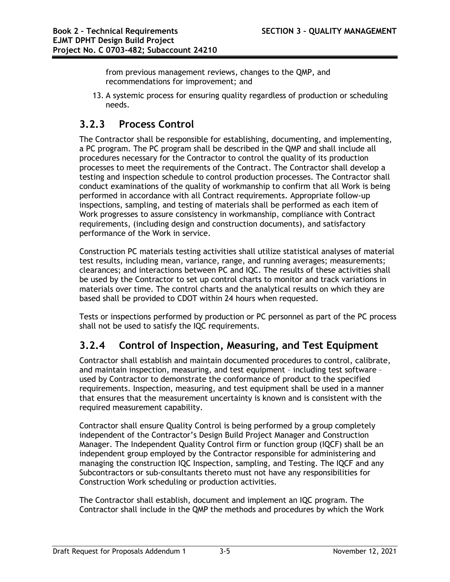from previous management reviews, changes to the QMP, and recommendations for improvement; and

13. A systemic process for ensuring quality regardless of production or scheduling needs.

# **3.2.3 Process Control**

The Contractor shall be responsible for establishing, documenting, and implementing, a PC program. The PC program shall be described in the QMP and shall include all procedures necessary for the Contractor to control the quality of its production processes to meet the requirements of the Contract. The Contractor shall develop a testing and inspection schedule to control production processes. The Contractor shall conduct examinations of the quality of workmanship to confirm that all Work is being performed in accordance with all Contract requirements. Appropriate follow-up inspections, sampling, and testing of materials shall be performed as each item of Work progresses to assure consistency in workmanship, compliance with Contract requirements, (including design and construction documents), and satisfactory performance of the Work in service.

Construction PC materials testing activities shall utilize statistical analyses of material test results, including mean, variance, range, and running averages; measurements; clearances; and interactions between PC and IQC. The results of these activities shall be used by the Contractor to set up control charts to monitor and track variations in materials over time. The control charts and the analytical results on which they are based shall be provided to CDOT within 24 hours when requested.

Tests or inspections performed by production or PC personnel as part of the PC process shall not be used to satisfy the IQC requirements.

## **3.2.4 Control of Inspection, Measuring, and Test Equipment**

Contractor shall establish and maintain documented procedures to control, calibrate, and maintain inspection, measuring, and test equipment – including test software – used by Contractor to demonstrate the conformance of product to the specified requirements. Inspection, measuring, and test equipment shall be used in a manner that ensures that the measurement uncertainty is known and is consistent with the required measurement capability.

Contractor shall ensure Quality Control is being performed by a group completely independent of the Contractor's Design Build Project Manager and Construction Manager. The Independent Quality Control firm or function group (IQCF) shall be an independent group employed by the Contractor responsible for administering and managing the construction IQC Inspection, sampling, and Testing. The IQCF and any Subcontractors or sub-consultants thereto must not have any responsibilities for Construction Work scheduling or production activities.

The Contractor shall establish, document and implement an IQC program. The Contractor shall include in the QMP the methods and procedures by which the Work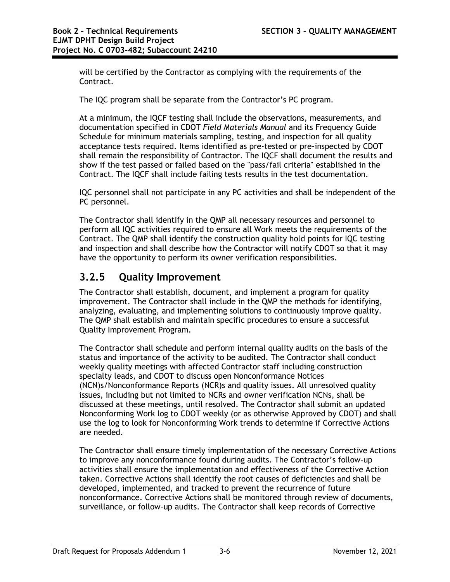will be certified by the Contractor as complying with the requirements of the Contract.

The IQC program shall be separate from the Contractor's PC program.

At a minimum, the IQCF testing shall include the observations, measurements, and documentation specified in CDOT *Field Materials Manual* and its Frequency Guide Schedule for minimum materials sampling, testing, and inspection for all quality acceptance tests required. Items identified as pre-tested or pre-inspected by CDOT shall remain the responsibility of Contractor. The IQCF shall document the results and show if the test passed or failed based on the "pass/fail criteria" established in the Contract. The IQCF shall include failing tests results in the test documentation.

IQC personnel shall not participate in any PC activities and shall be independent of the PC personnel.

The Contractor shall identify in the QMP all necessary resources and personnel to perform all IQC activities required to ensure all Work meets the requirements of the Contract. The QMP shall identify the construction quality hold points for IQC testing and inspection and shall describe how the Contractor will notify CDOT so that it may have the opportunity to perform its owner verification responsibilities.

### **3.2.5 Quality Improvement**

The Contractor shall establish, document, and implement a program for quality improvement. The Contractor shall include in the QMP the methods for identifying, analyzing, evaluating, and implementing solutions to continuously improve quality. The QMP shall establish and maintain specific procedures to ensure a successful Quality Improvement Program.

The Contractor shall schedule and perform internal quality audits on the basis of the status and importance of the activity to be audited. The Contractor shall conduct weekly quality meetings with affected Contractor staff including construction specialty leads, and CDOT to discuss open Nonconformance Notices (NCN)s/Nonconformance Reports (NCR)s and quality issues. All unresolved quality issues, including but not limited to NCRs and owner verification NCNs, shall be discussed at these meetings, until resolved. The Contractor shall submit an updated Nonconforming Work log to CDOT weekly (or as otherwise Approved by CDOT) and shall use the log to look for Nonconforming Work trends to determine if Corrective Actions are needed.

The Contractor shall ensure timely implementation of the necessary Corrective Actions to improve any nonconformance found during audits. The Contractor's follow-up activities shall ensure the implementation and effectiveness of the Corrective Action taken. Corrective Actions shall identify the root causes of deficiencies and shall be developed, implemented, and tracked to prevent the recurrence of future nonconformance. Corrective Actions shall be monitored through review of documents, surveillance, or follow-up audits. The Contractor shall keep records of Corrective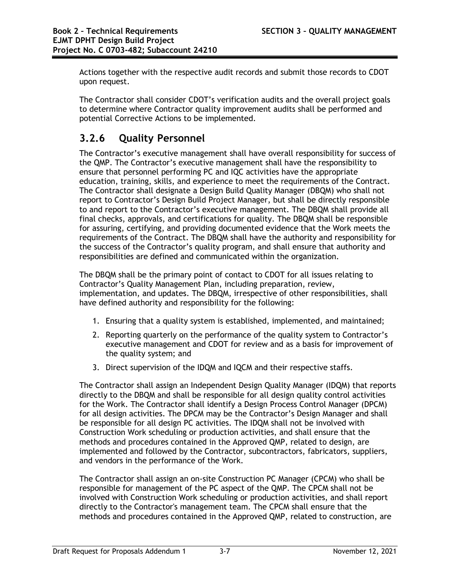Actions together with the respective audit records and submit those records to CDOT upon request.

The Contractor shall consider CDOT's verification audits and the overall project goals to determine where Contractor quality improvement audits shall be performed and potential Corrective Actions to be implemented.

## **3.2.6 Quality Personnel**

The Contractor's executive management shall have overall responsibility for success of the QMP. The Contractor's executive management shall have the responsibility to ensure that personnel performing PC and IQC activities have the appropriate education, training, skills, and experience to meet the requirements of the Contract. The Contractor shall designate a Design Build Quality Manager (DBQM) who shall not report to Contractor's Design Build Project Manager, but shall be directly responsible to and report to the Contractor's executive management. The DBQM shall provide all final checks, approvals, and certifications for quality. The DBQM shall be responsible for assuring, certifying, and providing documented evidence that the Work meets the requirements of the Contract. The DBQM shall have the authority and responsibility for the success of the Contractor's quality program, and shall ensure that authority and responsibilities are defined and communicated within the organization.

The DBQM shall be the primary point of contact to CDOT for all issues relating to Contractor's Quality Management Plan, including preparation, review, implementation, and updates. The DBQM, irrespective of other responsibilities, shall have defined authority and responsibility for the following:

- 1. Ensuring that a quality system is established, implemented, and maintained;
- 2. Reporting quarterly on the performance of the quality system to Contractor's executive management and CDOT for review and as a basis for improvement of the quality system; and
- 3. Direct supervision of the IDQM and IQCM and their respective staffs.

The Contractor shall assign an Independent Design Quality Manager (IDQM) that reports directly to the DBQM and shall be responsible for all design quality control activities for the Work. The Contractor shall identify a Design Process Control Manager (DPCM) for all design activities. The DPCM may be the Contractor's Design Manager and shall be responsible for all design PC activities. The IDQM shall not be involved with Construction Work scheduling or production activities, and shall ensure that the methods and procedures contained in the Approved QMP, related to design, are implemented and followed by the Contractor, subcontractors, fabricators, suppliers, and vendors in the performance of the Work.

The Contractor shall assign an on-site Construction PC Manager (CPCM) who shall be responsible for management of the PC aspect of the QMP. The CPCM shall not be involved with Construction Work scheduling or production activities, and shall report directly to the Contractor's management team. The CPCM shall ensure that the methods and procedures contained in the Approved QMP, related to construction, are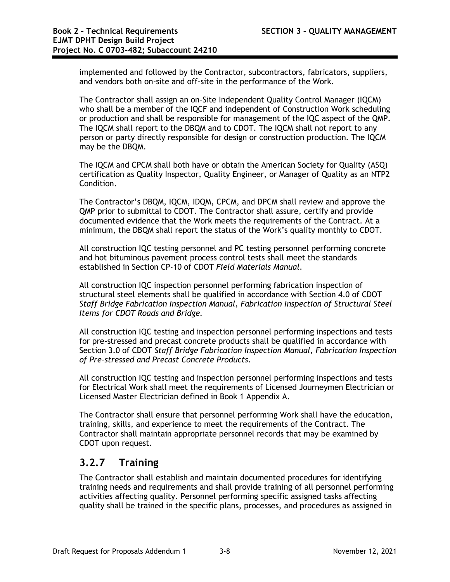implemented and followed by the Contractor, subcontractors, fabricators, suppliers, and vendors both on-site and off-site in the performance of the Work.

The Contractor shall assign an on-Site Independent Quality Control Manager (IQCM) who shall be a member of the IQCF and independent of Construction Work scheduling or production and shall be responsible for management of the IQC aspect of the QMP. The IQCM shall report to the DBQM and to CDOT. The IQCM shall not report to any person or party directly responsible for design or construction production. The IQCM may be the DBQM.

The IQCM and CPCM shall both have or obtain the American Society for Quality (ASQ) certification as Quality Inspector, Quality Engineer, or Manager of Quality as an NTP2 Condition.

The Contractor's DBQM, IQCM, IDQM, CPCM, and DPCM shall review and approve the QMP prior to submittal to CDOT. The Contractor shall assure, certify and provide documented evidence that the Work meets the requirements of the Contract. At a minimum, the DBQM shall report the status of the Work's quality monthly to CDOT.

All construction IQC testing personnel and PC testing personnel performing concrete and hot bituminous pavement process control tests shall meet the standards established in Section CP-10 of CDOT *Field Materials Manual*.

All construction IQC inspection personnel performing fabrication inspection of structural steel elements shall be qualified in accordance with Section 4.0 of CDOT *Staff Bridge Fabrication Inspection Manual, Fabrication Inspection of Structural Steel Items for CDOT Roads and Bridge.*

All construction IQC testing and inspection personnel performing inspections and tests for pre-stressed and precast concrete products shall be qualified in accordance with Section 3.0 of CDOT *Staff Bridge Fabrication Inspection Manual, Fabrication Inspection of Pre-stressed and Precast Concrete Products.*

All construction IQC testing and inspection personnel performing inspections and tests for Electrical Work shall meet the requirements of Licensed Journeymen Electrician or Licensed Master Electrician defined in Book 1 Appendix A.

The Contractor shall ensure that personnel performing Work shall have the education, training, skills, and experience to meet the requirements of the Contract. The Contractor shall maintain appropriate personnel records that may be examined by CDOT upon request.

### **3.2.7 Training**

The Contractor shall establish and maintain documented procedures for identifying training needs and requirements and shall provide training of all personnel performing activities affecting quality. Personnel performing specific assigned tasks affecting quality shall be trained in the specific plans, processes, and procedures as assigned in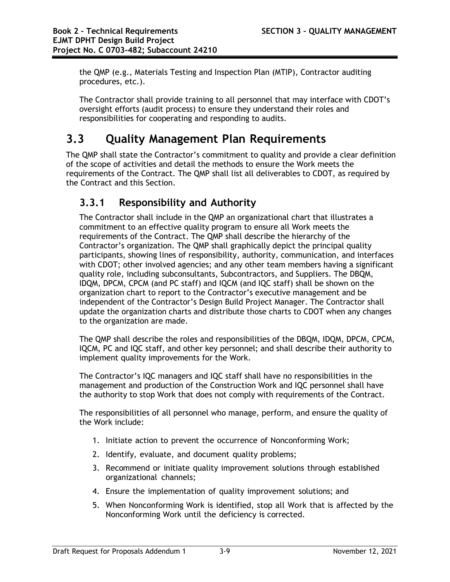the QMP (e.g., Materials Testing and Inspection Plan (MTIP), Contractor auditing procedures, etc.).

The Contractor shall provide training to all personnel that may interface with CDOT's oversight efforts (audit process) to ensure they understand their roles and responsibilities for cooperating and responding to audits.

# **3.3 Quality Management Plan Requirements**

The QMP shall state the Contractor's commitment to quality and provide a clear definition of the scope of activities and detail the methods to ensure the Work meets the requirements of the Contract. The QMP shall list all deliverables to CDOT, as required by the Contract and this Section.

## **3.3.1 Responsibility and Authority**

The Contractor shall include in the QMP an organizational chart that illustrates a commitment to an effective quality program to ensure all Work meets the requirements of the Contract. The QMP shall describe the hierarchy of the Contractor's organization. The QMP shall graphically depict the principal quality participants, showing lines of responsibility, authority, communication, and interfaces with CDOT; other involved agencies; and any other team members having a significant quality role, including subconsultants, Subcontractors, and Suppliers. The DBQM, IDQM, DPCM, CPCM (and PC staff) and IQCM (and IQC staff) shall be shown on the organization chart to report to the Contractor's executive management and be independent of the Contractor's Design Build Project Manager. The Contractor shall update the organization charts and distribute those charts to CDOT when any changes to the organization are made.

The QMP shall describe the roles and responsibilities of the DBQM, IDQM, DPCM, CPCM, IQCM, PC and IQC staff, and other key personnel; and shall describe their authority to implement quality improvements for the Work.

The Contractor's IQC managers and IQC staff shall have no responsibilities in the management and production of the Construction Work and IQC personnel shall have the authority to stop Work that does not comply with requirements of the Contract.

The responsibilities of all personnel who manage, perform, and ensure the quality of the Work include:

- 1. Initiate action to prevent the occurrence of Nonconforming Work;
- 2. Identify, evaluate, and document quality problems;
- 3. Recommend or initiate quality improvement solutions through established organizational channels;
- 4. Ensure the implementation of quality improvement solutions; and
- 5. When Nonconforming Work is identified, stop all Work that is affected by the Nonconforming Work until the deficiency is corrected.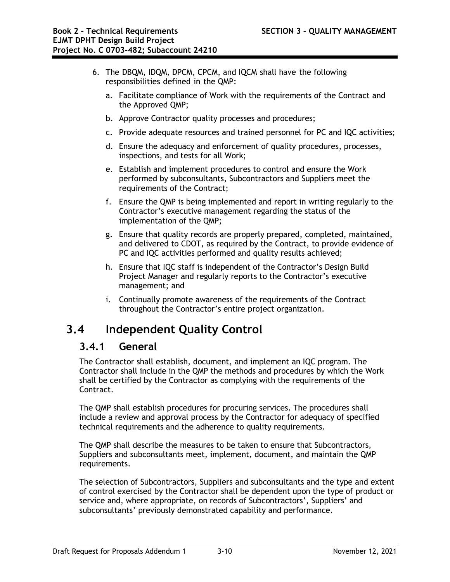- 6. The DBQM, IDQM, DPCM, CPCM, and IQCM shall have the following responsibilities defined in the QMP:
	- a. Facilitate compliance of Work with the requirements of the Contract and the Approved QMP;
	- b. Approve Contractor quality processes and procedures;
	- c. Provide adequate resources and trained personnel for PC and IQC activities;
	- d. Ensure the adequacy and enforcement of quality procedures, processes, inspections, and tests for all Work;
	- e. Establish and implement procedures to control and ensure the Work performed by subconsultants, Subcontractors and Suppliers meet the requirements of the Contract;
	- f. Ensure the QMP is being implemented and report in writing regularly to the Contractor's executive management regarding the status of the implementation of the QMP;
	- g. Ensure that quality records are properly prepared, completed, maintained, and delivered to CDOT, as required by the Contract, to provide evidence of PC and IQC activities performed and quality results achieved;
	- h. Ensure that IQC staff is independent of the Contractor's Design Build Project Manager and regularly reports to the Contractor's executive management; and
	- i. Continually promote awareness of the requirements of the Contract throughout the Contractor's entire project organization.

# **3.4 Independent Quality Control**

### **3.4.1 General**

The Contractor shall establish, document, and implement an IQC program. The Contractor shall include in the QMP the methods and procedures by which the Work shall be certified by the Contractor as complying with the requirements of the Contract.

The QMP shall establish procedures for procuring services. The procedures shall include a review and approval process by the Contractor for adequacy of specified technical requirements and the adherence to quality requirements.

The QMP shall describe the measures to be taken to ensure that Subcontractors, Suppliers and subconsultants meet, implement, document, and maintain the QMP requirements.

The selection of Subcontractors, Suppliers and subconsultants and the type and extent of control exercised by the Contractor shall be dependent upon the type of product or service and, where appropriate, on records of Subcontractors', Suppliers' and subconsultants' previously demonstrated capability and performance.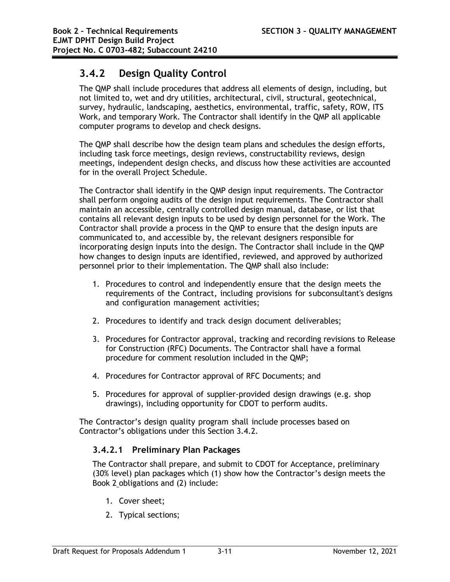## **3.4.2 Design Quality Control**

The QMP shall include procedures that address all elements of design, including, but not limited to, wet and dry utilities, architectural, civil, structural, geotechnical, survey, hydraulic, landscaping, aesthetics, environmental, traffic, safety, ROW, ITS Work, and temporary Work. The Contractor shall identify in the QMP all applicable computer programs to develop and check designs.

The QMP shall describe how the design team plans and schedules the design efforts, including task force meetings, design reviews, constructability reviews, design meetings, independent design checks, and discuss how these activities are accounted for in the overall Project Schedule.

The Contractor shall identify in the QMP design input requirements. The Contractor shall perform ongoing audits of the design input requirements. The Contractor shall maintain an accessible, centrally controlled design manual, database, or list that contains all relevant design inputs to be used by design personnel for the Work. The Contractor shall provide a process in the QMP to ensure that the design inputs are communicated to, and accessible by, the relevant designers responsible for incorporating design inputs into the design. The Contractor shall include in the QMP how changes to design inputs are identified, reviewed, and approved by authorized personnel prior to their implementation. The QMP shall also include:

- 1. Procedures to control and independently ensure that the design meets the requirements of the Contract, including provisions for subconsultant's designs and configuration management activities;
- 2. Procedures to identify and track design document deliverables;
- 3. Procedures for Contractor approval, tracking and recording revisions to Release for Construction (RFC) Documents. The Contractor shall have a formal procedure for comment resolution included in the QMP;
- 4. Procedures for Contractor approval of RFC Documents; and
- 5. Procedures for approval of supplier-provided design drawings (e.g. shop drawings), including opportunity for CDOT to perform audits.

The Contractor's design quality program shall include processes based on Contractor's obligations under this Section 3.4.2.

### **3.4.2.1 Preliminary Plan Packages**

The Contractor shall prepare, and submit to CDOT for Acceptance, preliminary (30% level) plan packages which (1) show how the Contractor's design meets the Book 2 obligations and (2) include:

- 1. Cover sheet;
- 2. Typical sections;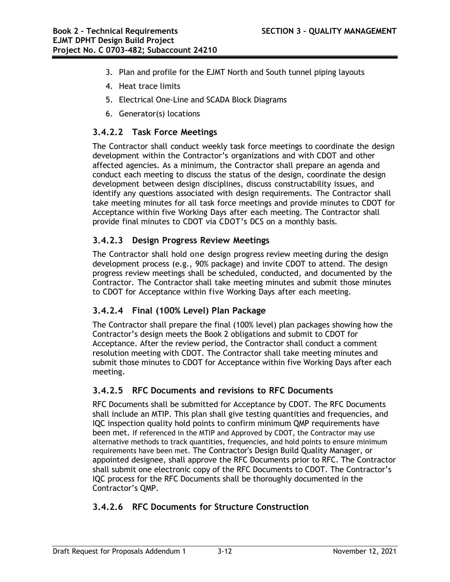- 3. Plan and profile for the EJMT North and South tunnel piping layouts
- 4. Heat trace limits
- 5. Electrical One-Line and SCADA Block Diagrams
- 6. Generator(s) locations

### **3.4.2.2 Task Force Meetings**

The Contractor shall conduct weekly task force meetings to coordinate the design development within the Contractor's organizations and with CDOT and other affected agencies. As a minimum, the Contractor shall prepare an agenda and conduct each meeting to discuss the status of the design, coordinate the design development between design disciplines, discuss constructability issues, and identify any questions associated with design requirements. The Contractor shall take meeting minutes for all task force meetings and provide minutes to CDOT for Acceptance within five Working Days after each meeting. The Contractor shall provide final minutes to CDOT via CDOT's DCS on a monthly basis.

#### **3.4.2.3 Design Progress Review Meetings**

The Contractor shall hold one design progress review meeting during the design development process (e.g., 90% package) and invite CDOT to attend. The design progress review meetings shall be scheduled, conducted, and documented by the Contractor. The Contractor shall take meeting minutes and submit those minutes to CDOT for Acceptance within five Working Days after each meeting.

### **3.4.2.4 Final (100% Level) Plan Package**

The Contractor shall prepare the final (100% level) plan packages showing how the Contractor's design meets the Book 2 obligations and submit to CDOT for Acceptance. After the review period, the Contractor shall conduct a comment resolution meeting with CDOT. The Contractor shall take meeting minutes and submit those minutes to CDOT for Acceptance within five Working Days after each meeting.

### **3.4.2.5 RFC Documents and revisions to RFC Documents**

RFC Documents shall be submitted for Acceptance by CDOT. The RFC Documents shall include an MTIP. This plan shall give testing quantities and frequencies, and IQC inspection quality hold points to confirm minimum QMP requirements have been met. If referenced in the MTIP and Approved by CDOT, the Contractor may use alternative methods to track quantities, frequencies, and hold points to ensure minimum requirements have been met. The Contractor's Design Build Quality Manager, or appointed designee, shall approve the RFC Documents prior to RFC. The Contractor shall submit one electronic copy of the RFC Documents to CDOT. The Contractor's IQC process for the RFC Documents shall be thoroughly documented in the Contractor's QMP.

### **3.4.2.6 RFC Documents for Structure Construction**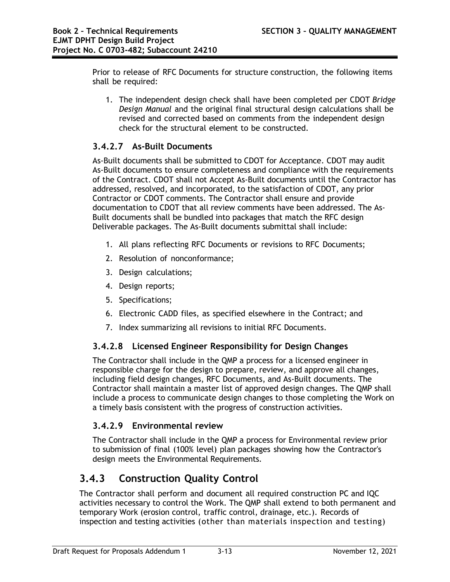Prior to release of RFC Documents for structure construction, the following items shall be required:

1. The independent design check shall have been completed per CDOT *Bridge Design Manual* and the original final structural design calculations shall be revised and corrected based on comments from the independent design check for the structural element to be constructed.

### **3.4.2.7 As-Built Documents**

As-Built documents shall be submitted to CDOT for Acceptance. CDOT may audit As-Built documents to ensure completeness and compliance with the requirements of the Contract. CDOT shall not Accept As-Built documents until the Contractor has addressed, resolved, and incorporated, to the satisfaction of CDOT, any prior Contractor or CDOT comments. The Contractor shall ensure and provide documentation to CDOT that all review comments have been addressed. The As-Built documents shall be bundled into packages that match the RFC design Deliverable packages. The As-Built documents submittal shall include:

- 1. All plans reflecting RFC Documents or revisions to RFC Documents;
- 2. Resolution of nonconformance;
- 3. Design calculations;
- 4. Design reports;
- 5. Specifications;
- 6. Electronic CADD files, as specified elsewhere in the Contract; and
- 7. Index summarizing all revisions to initial RFC Documents.

### **3.4.2.8 Licensed Engineer Responsibility for Design Changes**

The Contractor shall include in the QMP a process for a licensed engineer in responsible charge for the design to prepare, review, and approve all changes, including field design changes, RFC Documents, and As-Built documents. The Contractor shall maintain a master list of approved design changes. The QMP shall include a process to communicate design changes to those completing the Work on a timely basis consistent with the progress of construction activities.

### **3.4.2.9 Environmental review**

The Contractor shall include in the QMP a process for Environmental review prior to submission of final (100% level) plan packages showing how the Contractor's design meets the Environmental Requirements.

## **3.4.3 Construction Quality Control**

The Contractor shall perform and document all required construction PC and IQC activities necessary to control the Work. The QMP shall extend to both permanent and temporary Work (erosion control, traffic control, drainage, etc.). Records of inspection and testing activities (other than materials inspection and testing)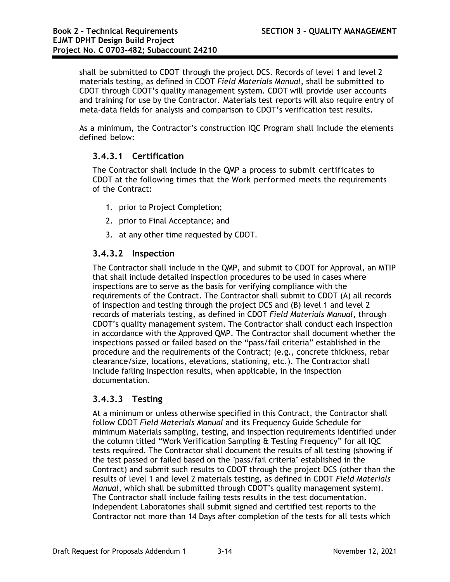shall be submitted to CDOT through the project DCS. Records of level 1 and level 2 materials testing, as defined in CDOT *Field Materials Manual*, shall be submitted to CDOT through CDOT's quality management system. CDOT will provide user accounts and training for use by the Contractor. Materials test reports will also require entry of meta-data fields for analysis and comparison to CDOT's verification test results.

As a minimum, the Contractor's construction IQC Program shall include the elements defined below:

### **3.4.3.1 Certification**

The Contractor shall include in the QMP a process to submit certificates to CDOT at the following times that the Work performed meets the requirements of the Contract:

- 1. prior to Project Completion;
- 2. prior to Final Acceptance; and
- 3. at any other time requested by CDOT.

### **3.4.3.2 Inspection**

The Contractor shall include in the QMP, and submit to CDOT for Approval, an MTIP that shall include detailed inspection procedures to be used in cases where inspections are to serve as the basis for verifying compliance with the requirements of the Contract. The Contractor shall submit to CDOT (A) all records of inspection and testing through the project DCS and (B) level 1 and level 2 records of materials testing, as defined in CDOT *Field Materials Manual*, through CDOT's quality management system. The Contractor shall conduct each inspection in accordance with the Approved QMP. The Contractor shall document whether the inspections passed or failed based on the "pass/fail criteria" established in the procedure and the requirements of the Contract; (e.g., concrete thickness, rebar clearance/size, locations, elevations, stationing, etc.). The Contractor shall include failing inspection results, when applicable, in the inspection documentation.

### **3.4.3.3 Testing**

At a minimum or unless otherwise specified in this Contract, the Contractor shall follow CDOT *Field Materials Manual* and its Frequency Guide Schedule for minimum Materials sampling, testing, and inspection requirements identified under the column titled "Work Verification Sampling & Testing Frequency" for all IQC tests required. The Contractor shall document the results of all testing (showing if the test passed or failed based on the "pass/fail criteria" established in the Contract) and submit such results to CDOT through the project DCS (other than the results of level 1 and level 2 materials testing, as defined in CDOT *Field Materials Manual*, which shall be submitted through CDOT's quality management system). The Contractor shall include failing tests results in the test documentation. Independent Laboratories shall submit signed and certified test reports to the Contractor not more than 14 Days after completion of the tests for all tests which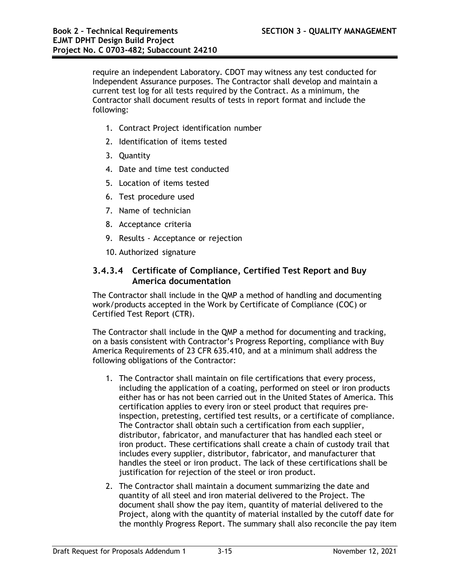require an independent Laboratory. CDOT may witness any test conducted for Independent Assurance purposes. The Contractor shall develop and maintain a current test log for all tests required by the Contract. As a minimum, the Contractor shall document results of tests in report format and include the following:

- 1. Contract Project identification number
- 2. Identification of items tested
- 3. Quantity
- 4. Date and time test conducted
- 5. Location of items tested
- 6. Test procedure used
- 7. Name of technician
- 8. Acceptance criteria
- 9. Results Acceptance or rejection
- 10. Authorized signature

### **3.4.3.4 Certificate of Compliance, Certified Test Report and Buy America documentation**

The Contractor shall include in the QMP a method of handling and documenting work/products accepted in the Work by Certificate of Compliance (COC) or Certified Test Report (CTR).

The Contractor shall include in the QMP a method for documenting and tracking, on a basis consistent with Contractor's Progress Reporting, compliance with Buy America Requirements of 23 CFR 635.410, and at a minimum shall address the following obligations of the Contractor:

- 1. The Contractor shall maintain on file certifications that every process, including the application of a coating, performed on steel or iron products either has or has not been carried out in the United States of America. This certification applies to every iron or steel product that requires preinspection, pretesting, certified test results, or a certificate of compliance. The Contractor shall obtain such a certification from each supplier, distributor, fabricator, and manufacturer that has handled each steel or iron product. These certifications shall create a chain of custody trail that includes every supplier, distributor, fabricator, and manufacturer that handles the steel or iron product. The lack of these certifications shall be justification for rejection of the steel or iron product.
- 2. The Contractor shall maintain a document summarizing the date and quantity of all steel and iron material delivered to the Project. The document shall show the pay item, quantity of material delivered to the Project, along with the quantity of material installed by the cutoff date for the monthly Progress Report. The summary shall also reconcile the pay item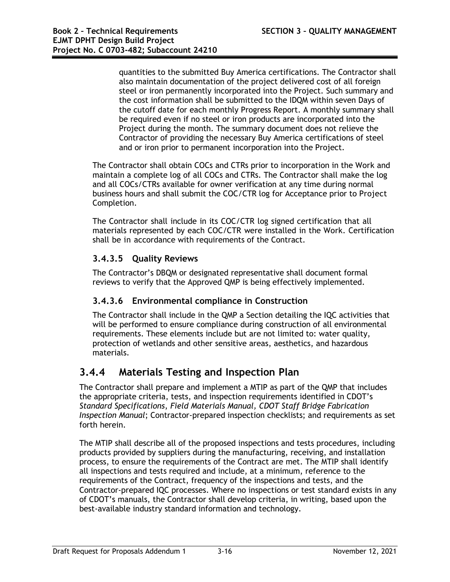quantities to the submitted Buy America certifications. The Contractor shall also maintain documentation of the project delivered cost of all foreign steel or iron permanently incorporated into the Project. Such summary and the cost information shall be submitted to the IDQM within seven Days of the cutoff date for each monthly Progress Report. A monthly summary shall be required even if no steel or iron products are incorporated into the Project during the month. The summary document does not relieve the Contractor of providing the necessary Buy America certifications of steel and or iron prior to permanent incorporation into the Project.

The Contractor shall obtain COCs and CTRs prior to incorporation in the Work and maintain a complete log of all COCs and CTRs. The Contractor shall make the log and all COCs/CTRs available for owner verification at any time during normal business hours and shall submit the COC/CTR log for Acceptance prior to Project Completion.

The Contractor shall include in its COC/CTR log signed certification that all materials represented by each COC/CTR were installed in the Work. Certification shall be in accordance with requirements of the Contract.

### **3.4.3.5 Quality Reviews**

The Contractor's DBQM or designated representative shall document formal reviews to verify that the Approved QMP is being effectively implemented.

### **3.4.3.6 Environmental compliance in Construction**

The Contractor shall include in the QMP a Section detailing the IQC activities that will be performed to ensure compliance during construction of all environmental requirements. These elements include but are not limited to: water quality, protection of wetlands and other sensitive areas, aesthetics, and hazardous materials.

## **3.4.4 Materials Testing and Inspection Plan**

The Contractor shall prepare and implement a MTIP as part of the QMP that includes the appropriate criteria, tests, and inspection requirements identified in CDOT's *Standard Specifications*, *Field Materials Manual, CDOT Staff Bridge Fabrication Inspection Manual*; Contractor-prepared inspection checklists; and requirements as set forth herein.

The MTIP shall describe all of the proposed inspections and tests procedures, including products provided by suppliers during the manufacturing, receiving, and installation process, to ensure the requirements of the Contract are met. The MTIP shall identify all inspections and tests required and include, at a minimum, reference to the requirements of the Contract, frequency of the inspections and tests, and the Contractor-prepared IQC processes. Where no inspections or test standard exists in any of CDOT's manuals, the Contractor shall develop criteria, in writing, based upon the best-available industry standard information and technology.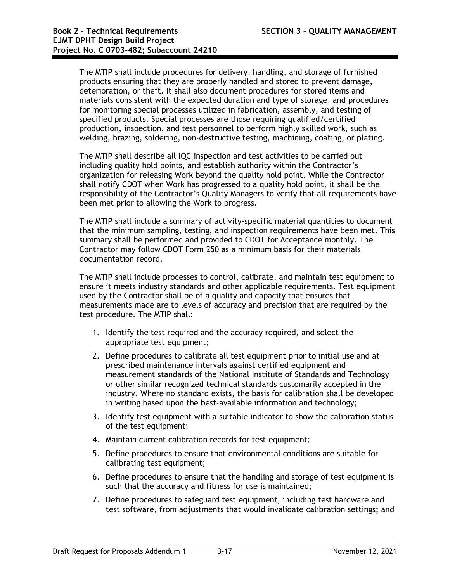The MTIP shall include procedures for delivery, handling, and storage of furnished products ensuring that they are properly handled and stored to prevent damage, deterioration, or theft. It shall also document procedures for stored items and materials consistent with the expected duration and type of storage, and procedures for monitoring special processes utilized in fabrication, assembly, and testing of specified products. Special processes are those requiring qualified/certified production, inspection, and test personnel to perform highly skilled work, such as welding, brazing, soldering, non-destructive testing, machining, coating, or plating.

The MTIP shall describe all IQC inspection and test activities to be carried out including quality hold points, and establish authority within the Contractor's organization for releasing Work beyond the quality hold point. While the Contractor shall notify CDOT when Work has progressed to a quality hold point, it shall be the responsibility of the Contractor's Quality Managers to verify that all requirements have been met prior to allowing the Work to progress.

The MTIP shall include a summary of activity-specific material quantities to document that the minimum sampling, testing, and inspection requirements have been met. This summary shall be performed and provided to CDOT for Acceptance monthly. The Contractor may follow CDOT Form 250 as a minimum basis for their materials documentation record.

The MTIP shall include processes to control, calibrate, and maintain test equipment to ensure it meets industry standards and other applicable requirements. Test equipment used by the Contractor shall be of a quality and capacity that ensures that measurements made are to levels of accuracy and precision that are required by the test procedure. The MTIP shall:

- 1. Identify the test required and the accuracy required, and select the appropriate test equipment;
- 2. Define procedures to calibrate all test equipment prior to initial use and at prescribed maintenance intervals against certified equipment and measurement standards of the National Institute of Standards and Technology or other similar recognized technical standards customarily accepted in the industry. Where no standard exists, the basis for calibration shall be developed in writing based upon the best-available information and technology;
- 3. Identify test equipment with a suitable indicator to show the calibration status of the test equipment;
- 4. Maintain current calibration records for test equipment;
- 5. Define procedures to ensure that environmental conditions are suitable for calibrating test equipment;
- 6. Define procedures to ensure that the handling and storage of test equipment is such that the accuracy and fitness for use is maintained;
- 7. Define procedures to safeguard test equipment, including test hardware and test software, from adjustments that would invalidate calibration settings; and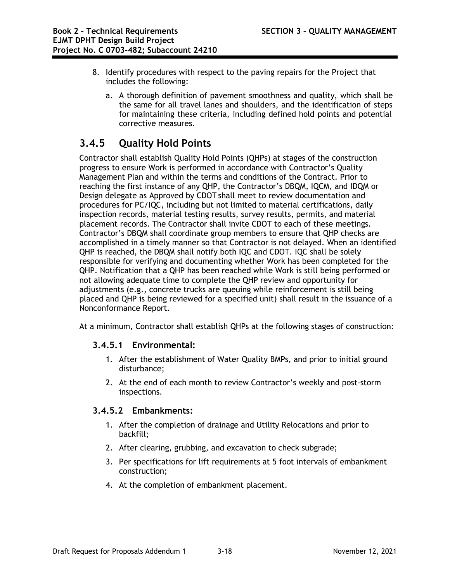- 8. Identify procedures with respect to the paving repairs for the Project that includes the following:
	- a. A thorough definition of pavement smoothness and quality, which shall be the same for all travel lanes and shoulders, and the identification of steps for maintaining these criteria, including defined hold points and potential corrective measures.

## **3.4.5 Quality Hold Points**

Contractor shall establish Quality Hold Points (QHPs) at stages of the construction progress to ensure Work is performed in accordance with Contractor's Quality Management Plan and within the terms and conditions of the Contract. Prior to reaching the first instance of any QHP, the Contractor's DBQM, IQCM, and IDQM or Design delegate as Approved by CDOT shall meet to review documentation and procedures for PC/IQC, including but not limited to material certifications, daily inspection records, material testing results, survey results, permits, and material placement records. The Contractor shall invite CDOT to each of these meetings. Contractor's DBQM shall coordinate group members to ensure that QHP checks are accomplished in a timely manner so that Contractor is not delayed. When an identified QHP is reached, the DBQM shall notify both IQC and CDOT. IQC shall be solely responsible for verifying and documenting whether Work has been completed for the QHP. Notification that a QHP has been reached while Work is still being performed or not allowing adequate time to complete the QHP review and opportunity for adjustments (e.g., concrete trucks are queuing while reinforcement is still being placed and QHP is being reviewed for a specified unit) shall result in the issuance of a Nonconformance Report.

At a minimum, Contractor shall establish QHPs at the following stages of construction:

### **3.4.5.1 Environmental:**

- 1. After the establishment of Water Quality BMPs, and prior to initial ground disturbance;
- 2. At the end of each month to review Contractor's weekly and post-storm inspections.

### **3.4.5.2 Embankments:**

- 1. After the completion of drainage and Utility Relocations and prior to backfill;
- 2. After clearing, grubbing, and excavation to check subgrade;
- 3. Per specifications for lift requirements at 5 foot intervals of embankment construction;
- 4. At the completion of embankment placement.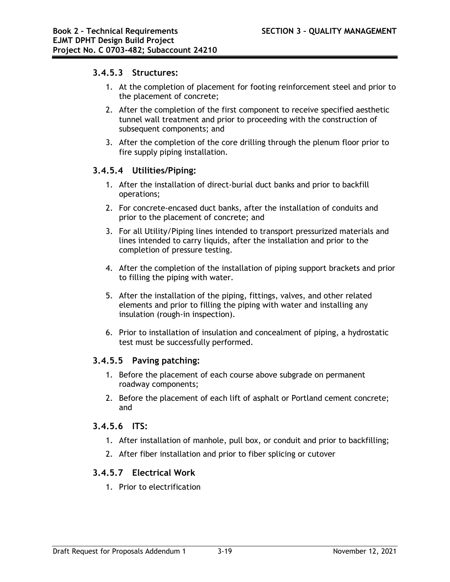### **3.4.5.3 Structures:**

- 1. At the completion of placement for footing reinforcement steel and prior to the placement of concrete;
- 2. After the completion of the first component to receive specified aesthetic tunnel wall treatment and prior to proceeding with the construction of subsequent components; and
- 3. After the completion of the core drilling through the plenum floor prior to fire supply piping installation.

#### **3.4.5.4 Utilities/Piping:**

- 1. After the installation of direct-burial duct banks and prior to backfill operations;
- 2. For concrete-encased duct banks, after the installation of conduits and prior to the placement of concrete; and
- 3. For all Utility/Piping lines intended to transport pressurized materials and lines intended to carry liquids, after the installation and prior to the completion of pressure testing.
- 4. After the completion of the installation of piping support brackets and prior to filling the piping with water.
- 5. After the installation of the piping, fittings, valves, and other related elements and prior to filling the piping with water and installing any insulation (rough-in inspection).
- 6. Prior to installation of insulation and concealment of piping, a hydrostatic test must be successfully performed.

### **3.4.5.5 Paving patching:**

- 1. Before the placement of each course above subgrade on permanent roadway components;
- 2. Before the placement of each lift of asphalt or Portland cement concrete; and

#### **3.4.5.6 ITS:**

- 1. After installation of manhole, pull box, or conduit and prior to backfilling;
- 2. After fiber installation and prior to fiber splicing or cutover

### **3.4.5.7 Electrical Work**

1. Prior to electrification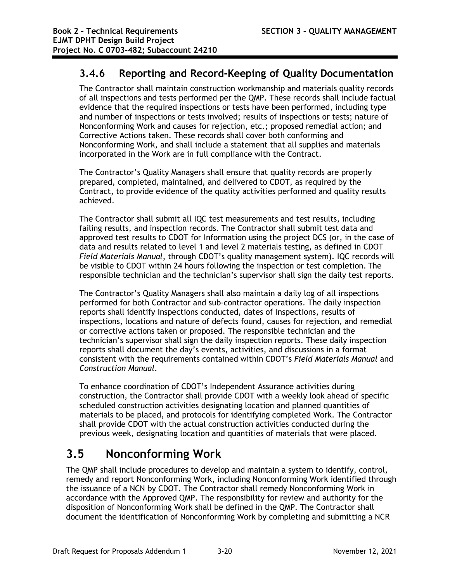## **3.4.6 Reporting and Record-Keeping of Quality Documentation**

The Contractor shall maintain construction workmanship and materials quality records of all inspections and tests performed per the QMP. These records shall include factual evidence that the required inspections or tests have been performed, including type and number of inspections or tests involved; results of inspections or tests; nature of Nonconforming Work and causes for rejection, etc.; proposed remedial action; and Corrective Actions taken. These records shall cover both conforming and Nonconforming Work, and shall include a statement that all supplies and materials incorporated in the Work are in full compliance with the Contract.

The Contractor's Quality Managers shall ensure that quality records are properly prepared, completed, maintained, and delivered to CDOT, as required by the Contract, to provide evidence of the quality activities performed and quality results achieved.

The Contractor shall submit all IQC test measurements and test results, including failing results, and inspection records. The Contractor shall submit test data and approved test results to CDOT for Information using the project DCS (or, in the case of data and results related to level 1 and level 2 materials testing, as defined in CDOT *Field Materials Manual*, through CDOT's quality management system). IQC records will be visible to CDOT within 24 hours following the inspection or test completion. The responsible technician and the technician's supervisor shall sign the daily test reports.

The Contractor's Quality Managers shall also maintain a daily log of all inspections performed for both Contractor and sub-contractor operations. The daily inspection reports shall identify inspections conducted, dates of inspections, results of inspections, locations and nature of defects found, causes for rejection, and remedial or corrective actions taken or proposed. The responsible technician and the technician's supervisor shall sign the daily inspection reports. These daily inspection reports shall document the day's events, activities, and discussions in a format consistent with the requirements contained within CDOT's *Field Materials Manual* and *Construction Manual*.

To enhance coordination of CDOT's Independent Assurance activities during construction, the Contractor shall provide CDOT with a weekly look ahead of specific scheduled construction activities designating location and planned quantities of materials to be placed, and protocols for identifying completed Work. The Contractor shall provide CDOT with the actual construction activities conducted during the previous week, designating location and quantities of materials that were placed.

# **3.5 Nonconforming Work**

The QMP shall include procedures to develop and maintain a system to identify, control, remedy and report Nonconforming Work, including Nonconforming Work identified through the issuance of a NCN by CDOT. The Contractor shall remedy Nonconforming Work in accordance with the Approved QMP. The responsibility for review and authority for the disposition of Nonconforming Work shall be defined in the QMP. The Contractor shall document the identification of Nonconforming Work by completing and submitting a NCR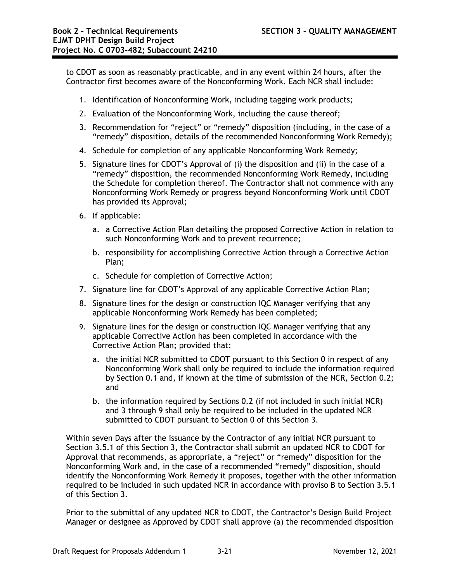to CDOT as soon as reasonably practicable, and in any event within 24 hours, after the Contractor first becomes aware of the Nonconforming Work. Each NCR shall include:

- 1. Identification of Nonconforming Work, including tagging work products;
- 2. Evaluation of the Nonconforming Work, including the cause thereof;
- 3. Recommendation for "reject" or "remedy" disposition (including, in the case of a "remedy" disposition, details of the recommended Nonconforming Work Remedy);
- 4. Schedule for completion of any applicable Nonconforming Work Remedy;
- 5. Signature lines for CDOT's Approval of (i) the disposition and (ii) in the case of a "remedy" disposition, the recommended Nonconforming Work Remedy, including the Schedule for completion thereof. The Contractor shall not commence with any Nonconforming Work Remedy or progress beyond Nonconforming Work until CDOT has provided its Approval;
- 6. If applicable:
	- a. a Corrective Action Plan detailing the proposed Corrective Action in relation to such Nonconforming Work and to prevent recurrence;
	- b. responsibility for accomplishing Corrective Action through a Corrective Action Plan;
	- c. Schedule for completion of Corrective Action;
- 7. Signature line for CDOT's Approval of any applicable Corrective Action Plan;
- 8. Signature lines for the design or construction IQC Manager verifying that any applicable Nonconforming Work Remedy has been completed;
- 9. Signature lines for the design or construction IQC Manager verifying that any applicable Corrective Action has been completed in accordance with the Corrective Action Plan; provided that:
	- a. the initial NCR submitted to CDOT pursuant to this Section 0 in respect of any Nonconforming Work shall only be required to include the information required by Section 0.1 and, if known at the time of submission of the NCR, Section 0.2; and
	- b. the information required by Sections 0.2 (if not included in such initial NCR) and 3 through 9 shall only be required to be included in the updated NCR submitted to CDOT pursuant to Section 0 of this Section 3.

Within seven Days after the issuance by the Contractor of any initial NCR pursuant to Section 3.5.1 of this Section 3, the Contractor shall submit an updated NCR to CDOT for Approval that recommends, as appropriate, a "reject" or "remedy" disposition for the Nonconforming Work and, in the case of a recommended "remedy" disposition, should identify the Nonconforming Work Remedy it proposes, together with the other information required to be included in such updated NCR in accordance with proviso B to Section 3.5.1 of this Section 3.

Prior to the submittal of any updated NCR to CDOT, the Contractor's Design Build Project Manager or designee as Approved by CDOT shall approve (a) the recommended disposition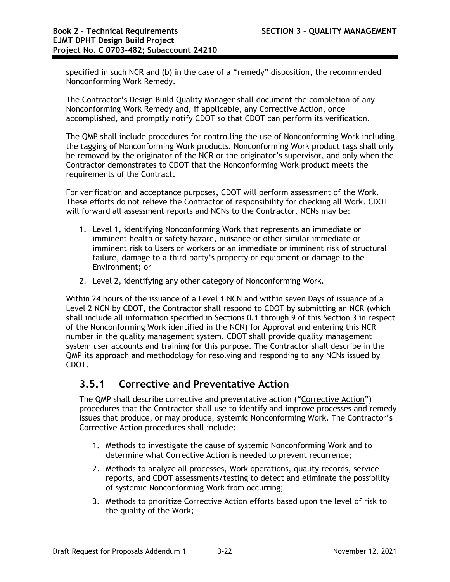specified in such NCR and (b) in the case of a "remedy" disposition, the recommended Nonconforming Work Remedy.

The Contractor's Design Build Quality Manager shall document the completion of any Nonconforming Work Remedy and, if applicable, any Corrective Action, once accomplished, and promptly notify CDOT so that CDOT can perform its verification.

The QMP shall include procedures for controlling the use of Nonconforming Work including the tagging of Nonconforming Work products. Nonconforming Work product tags shall only be removed by the originator of the NCR or the originator's supervisor, and only when the Contractor demonstrates to CDOT that the Nonconforming Work product meets the requirements of the Contract.

For verification and acceptance purposes, CDOT will perform assessment of the Work. These efforts do not relieve the Contractor of responsibility for checking all Work. CDOT will forward all assessment reports and NCNs to the Contractor. NCNs may be:

- 1. Level 1, identifying Nonconforming Work that represents an immediate or imminent health or safety hazard, nuisance or other similar immediate or imminent risk to Users or workers or an immediate or imminent risk of structural failure, damage to a third party's property or equipment or damage to the Environment; or
- 2. Level 2, identifying any other category of Nonconforming Work.

Within 24 hours of the issuance of a Level 1 NCN and within seven Days of issuance of a Level 2 NCN by CDOT, the Contractor shall respond to CDOT by submitting an NCR (which shall include all information specified in Sections 0.1 through 9 of this Section 3 in respect of the Nonconforming Work identified in the NCN) for Approval and entering this NCR number in the quality management system. CDOT shall provide quality management system user accounts and training for this purpose. The Contractor shall describe in the QMP its approach and methodology for resolving and responding to any NCNs issued by CDOT.

### **3.5.1 Corrective and Preventative Action**

The QMP shall describe corrective and preventative action ("Corrective Action") procedures that the Contractor shall use to identify and improve processes and remedy issues that produce, or may produce, systemic Nonconforming Work. The Contractor's Corrective Action procedures shall include:

- 1. Methods to investigate the cause of systemic Nonconforming Work and to determine what Corrective Action is needed to prevent recurrence;
- 2. Methods to analyze all processes, Work operations, quality records, service reports, and CDOT assessments/testing to detect and eliminate the possibility of systemic Nonconforming Work from occurring;
- 3. Methods to prioritize Corrective Action efforts based upon the level of risk to the quality of the Work;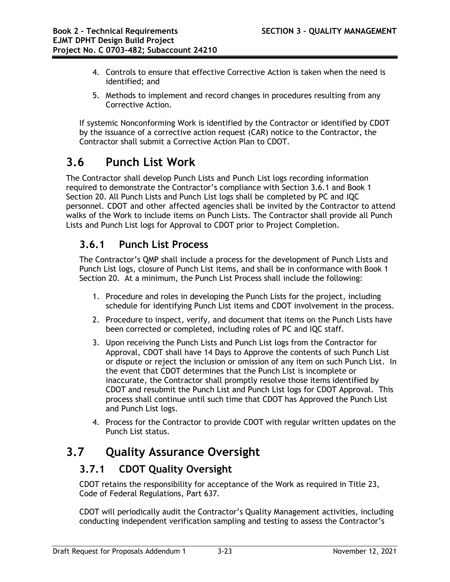- 4. Controls to ensure that effective Corrective Action is taken when the need is identified; and
- 5. Methods to implement and record changes in procedures resulting from any Corrective Action.

If systemic Nonconforming Work is identified by the Contractor or identified by CDOT by the issuance of a corrective action request (CAR) notice to the Contractor, the Contractor shall submit a Corrective Action Plan to CDOT.

# **3.6 Punch List Work**

The Contractor shall develop Punch Lists and Punch List logs recording information required to demonstrate the Contractor's compliance with Section 3.6.1 and Book 1 Section 20. All Punch Lists and Punch List logs shall be completed by PC and IQC personnel. CDOT and other affected agencies shall be invited by the Contractor to attend walks of the Work to include items on Punch Lists. The Contractor shall provide all Punch Lists and Punch List logs for Approval to CDOT prior to Project Completion.

### **3.6.1 Punch List Process**

The Contractor's QMP shall include a process for the development of Punch Lists and Punch List logs, closure of Punch List items, and shall be in conformance with Book 1 Section 20. At a minimum, the Punch List Process shall include the following:

- 1. Procedure and roles in developing the Punch Lists for the project, including schedule for identifying Punch List items and CDOT involvement in the process.
- 2. Procedure to inspect, verify, and document that items on the Punch Lists have been corrected or completed, including roles of PC and IQC staff.
- 3. Upon receiving the Punch Lists and Punch List logs from the Contractor for Approval, CDOT shall have 14 Days to Approve the contents of such Punch List or dispute or reject the inclusion or omission of any item on such Punch List. In the event that CDOT determines that the Punch List is incomplete or inaccurate, the Contractor shall promptly resolve those items identified by CDOT and resubmit the Punch List and Punch List logs for CDOT Approval. This process shall continue until such time that CDOT has Approved the Punch List and Punch List logs.
- 4. Process for the Contractor to provide CDOT with regular written updates on the Punch List status.

# **3.7 Quality Assurance Oversight**

## **3.7.1 CDOT Quality Oversight**

CDOT retains the responsibility for acceptance of the Work as required in Title 23, Code of Federal Regulations, Part 637.

CDOT will periodically audit the Contractor's Quality Management activities, including conducting independent verification sampling and testing to assess the Contractor's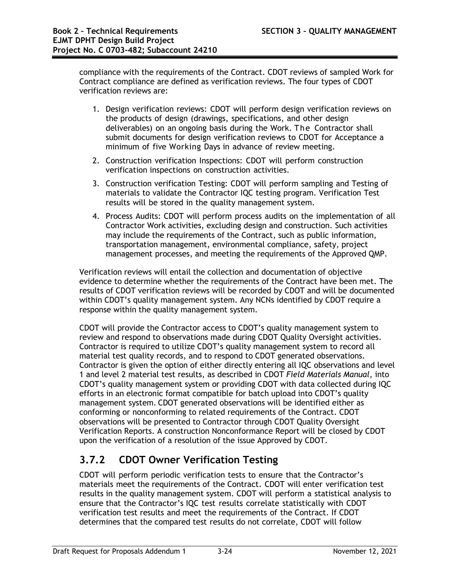compliance with the requirements of the Contract. CDOT reviews of sampled Work for Contract compliance are defined as verification reviews. The four types of CDOT verification reviews are:

- 1. Design verification reviews: CDOT will perform design verification reviews on the products of design (drawings, specifications, and other design deliverables) on an ongoing basis during the Work. The Contractor shall submit documents for design verification reviews to CDOT for Acceptance a minimum of five Working Days in advance of review meeting.
- 2. Construction verification Inspections: CDOT will perform construction verification inspections on construction activities.
- 3. Construction verification Testing: CDOT will perform sampling and Testing of materials to validate the Contractor IQC testing program. Verification Test results will be stored in the quality management system.
- 4. Process Audits: CDOT will perform process audits on the implementation of all Contractor Work activities, excluding design and construction. Such activities may include the requirements of the Contract, such as public information, transportation management, environmental compliance, safety, project management processes, and meeting the requirements of the Approved QMP.

Verification reviews will entail the collection and documentation of objective evidence to determine whether the requirements of the Contract have been met. The results of CDOT verification reviews will be recorded by CDOT and will be documented within CDOT's quality management system. Any NCNs identified by CDOT require a response within the quality management system.

CDOT will provide the Contractor access to CDOT's quality management system to review and respond to observations made during CDOT Quality Oversight activities. Contractor is required to utilize CDOT's quality management system to record all material test quality records, and to respond to CDOT generated observations. Contractor is given the option of either directly entering all IQC observations and level 1 and level 2 material test results, as described in CDOT *Field Materials Manual*, into CDOT's quality management system or providing CDOT with data collected during IQC efforts in an electronic format compatible for batch upload into CDOT's quality management system. CDOT generated observations will be identified either as conforming or nonconforming to related requirements of the Contract. CDOT observations will be presented to Contractor through CDOT Quality Oversight Verification Reports. A construction Nonconformance Report will be closed by CDOT upon the verification of a resolution of the issue Approved by CDOT.

# **3.7.2 CDOT Owner Verification Testing**

CDOT will perform periodic verification tests to ensure that the Contractor's materials meet the requirements of the Contract. CDOT will enter verification test results in the quality management system. CDOT will perform a statistical analysis to ensure that the Contractor's IQC test results correlate statistically with CDOT verification test results and meet the requirements of the Contract. If CDOT determines that the compared test results do not correlate, CDOT will follow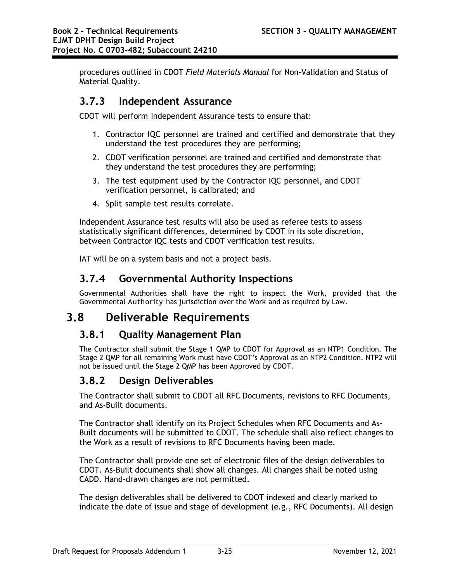procedures outlined in CDOT *Field Materials Manual* for Non-Validation and Status of Material Quality.

### **3.7.3 Independent Assurance**

CDOT will perform Independent Assurance tests to ensure that:

- 1. Contractor IQC personnel are trained and certified and demonstrate that they understand the test procedures they are performing;
- 2. CDOT verification personnel are trained and certified and demonstrate that they understand the test procedures they are performing;
- 3. The test equipment used by the Contractor IQC personnel, and CDOT verification personnel, is calibrated; and
- 4. Split sample test results correlate.

Independent Assurance test results will also be used as referee tests to assess statistically significant differences, determined by CDOT in its sole discretion, between Contractor IQC tests and CDOT verification test results.

IAT will be on a system basis and not a project basis.

### **3.7.4 Governmental Authority Inspections**

Governmental Authorities shall have the right to inspect the Work, provided that the Governmental Authority has jurisdiction over the Work and as required by Law.

# **3.8 Deliverable Requirements**

### **3.8.1 Quality Management Plan**

The Contractor shall submit the Stage 1 QMP to CDOT for Approval as an NTP1 Condition. The Stage 2 QMP for all remaining Work must have CDOT's Approval as an NTP2 Condition. NTP2 will not be issued until the Stage 2 QMP has been Approved by CDOT.

### **3.8.2 Design Deliverables**

The Contractor shall submit to CDOT all RFC Documents, revisions to RFC Documents, and As-Built documents.

The Contractor shall identify on its Project Schedules when RFC Documents and As-Built documents will be submitted to CDOT. The schedule shall also reflect changes to the Work as a result of revisions to RFC Documents having been made.

The Contractor shall provide one set of electronic files of the design deliverables to CDOT. As-Built documents shall show all changes. All changes shall be noted using CADD. Hand-drawn changes are not permitted.

The design deliverables shall be delivered to CDOT indexed and clearly marked to indicate the date of issue and stage of development (e.g., RFC Documents). All design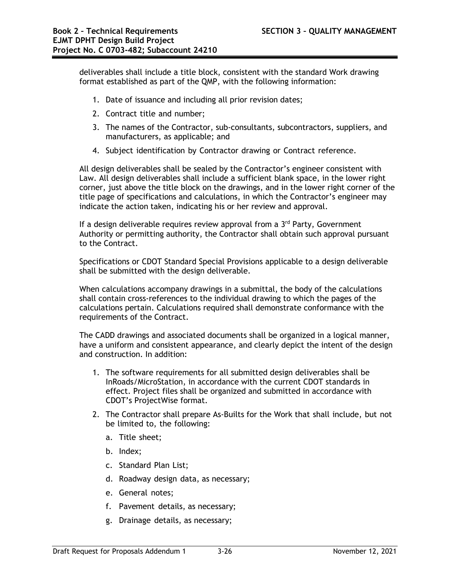deliverables shall include a title block, consistent with the standard Work drawing format established as part of the QMP, with the following information:

- 1. Date of issuance and including all prior revision dates;
- 2. Contract title and number;
- 3. The names of the Contractor, sub-consultants, subcontractors, suppliers, and manufacturers, as applicable; and
- 4. Subject identification by Contractor drawing or Contract reference.

All design deliverables shall be sealed by the Contractor's engineer consistent with Law. All design deliverables shall include a sufficient blank space, in the lower right corner, just above the title block on the drawings, and in the lower right corner of the title page of specifications and calculations, in which the Contractor's engineer may indicate the action taken, indicating his or her review and approval.

If a design deliverable requires review approval from a  $3<sup>rd</sup>$  Party, Government Authority or permitting authority, the Contractor shall obtain such approval pursuant to the Contract.

Specifications or CDOT Standard Special Provisions applicable to a design deliverable shall be submitted with the design deliverable.

When calculations accompany drawings in a submittal, the body of the calculations shall contain cross-references to the individual drawing to which the pages of the calculations pertain. Calculations required shall demonstrate conformance with the requirements of the Contract.

The CADD drawings and associated documents shall be organized in a logical manner, have a uniform and consistent appearance, and clearly depict the intent of the design and construction. In addition:

- 1. The software requirements for all submitted design deliverables shall be InRoads/MicroStation, in accordance with the current CDOT standards in effect. Project files shall be organized and submitted in accordance with CDOT's ProjectWise format.
- 2. The Contractor shall prepare As-Builts for the Work that shall include, but not be limited to, the following:
	- a. Title sheet;
	- b. Index;
	- c. Standard Plan List;
	- d. Roadway design data, as necessary;
	- e. General notes;
	- f. Pavement details, as necessary;
	- g. Drainage details, as necessary;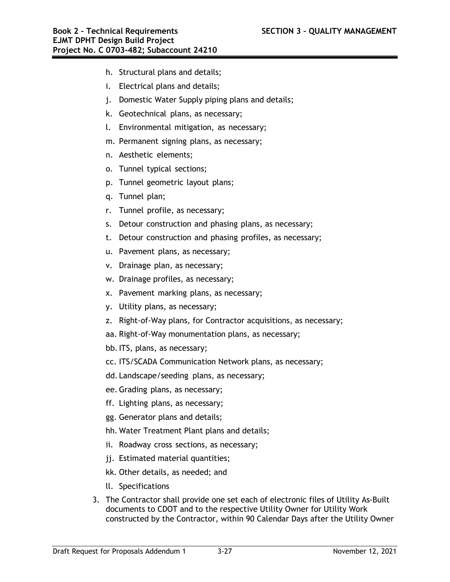- h. Structural plans and details;
- i. Electrical plans and details;
- j. Domestic Water Supply piping plans and details;
- k. Geotechnical plans, as necessary;
- l. Environmental mitigation, as necessary;
- m. Permanent signing plans, as necessary;
- n. Aesthetic elements;
- o. Tunnel typical sections;
- p. Tunnel geometric layout plans;
- q. Tunnel plan;
- r. Tunnel profile, as necessary;
- s. Detour construction and phasing plans, as necessary;
- t. Detour construction and phasing profiles, as necessary;
- u. Pavement plans, as necessary;
- v. Drainage plan, as necessary;
- w. Drainage profiles, as necessary;
- x. Pavement marking plans, as necessary;
- y. Utility plans, as necessary;
- z. Right-of-Way plans, for Contractor acquisitions, as necessary;
- aa. Right-of-Way monumentation plans, as necessary;
- bb.ITS, plans, as necessary;
- cc. ITS/SCADA Communication Network plans, as necessary;
- dd. Landscape/seeding plans, as necessary;
- ee. Grading plans, as necessary;
- ff. Lighting plans, as necessary;
- gg. Generator plans and details;
- hh. Water Treatment Plant plans and details;
- ii. Roadway cross sections, as necessary;
- jj. Estimated material quantities;
- kk. Other details, as needed; and
- ll. Specifications
- 3. The Contractor shall provide one set each of electronic files of Utility As-Built documents to CDOT and to the respective Utility Owner for Utility Work constructed by the Contractor, within 90 Calendar Days after the Utility Owner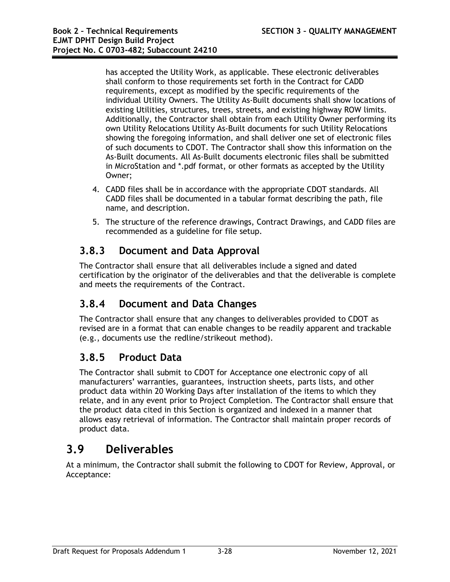has accepted the Utility Work, as applicable. These electronic deliverables shall conform to those requirements set forth in the Contract for CADD requirements, except as modified by the specific requirements of the individual Utility Owners. The Utility As-Built documents shall show locations of existing Utilities, structures, trees, streets, and existing highway ROW limits. Additionally, the Contractor shall obtain from each Utility Owner performing its own Utility Relocations Utility As-Built documents for such Utility Relocations showing the foregoing information, and shall deliver one set of electronic files of such documents to CDOT. The Contractor shall show this information on the As-Built documents. All As-Built documents electronic files shall be submitted in MicroStation and \*.pdf format, or other formats as accepted by the Utility Owner;

- 4. CADD files shall be in accordance with the appropriate CDOT standards. All CADD files shall be documented in a tabular format describing the path, file name, and description.
- 5. The structure of the reference drawings, Contract Drawings, and CADD files are recommended as a guideline for file setup.

## **3.8.3 Document and Data Approval**

The Contractor shall ensure that all deliverables include a signed and dated certification by the originator of the deliverables and that the deliverable is complete and meets the requirements of the Contract.

# **3.8.4 Document and Data Changes**

The Contractor shall ensure that any changes to deliverables provided to CDOT as revised are in a format that can enable changes to be readily apparent and trackable (e.g., documents use the redline/strikeout method).

## **3.8.5 Product Data**

The Contractor shall submit to CDOT for Acceptance one electronic copy of all manufacturers' warranties, guarantees, instruction sheets, parts lists, and other product data within 20 Working Days after installation of the items to which they relate, and in any event prior to Project Completion. The Contractor shall ensure that the product data cited in this Section is organized and indexed in a manner that allows easy retrieval of information. The Contractor shall maintain proper records of product data.

# **3.9 Deliverables**

At a minimum, the Contractor shall submit the following to CDOT for Review, Approval, or Acceptance: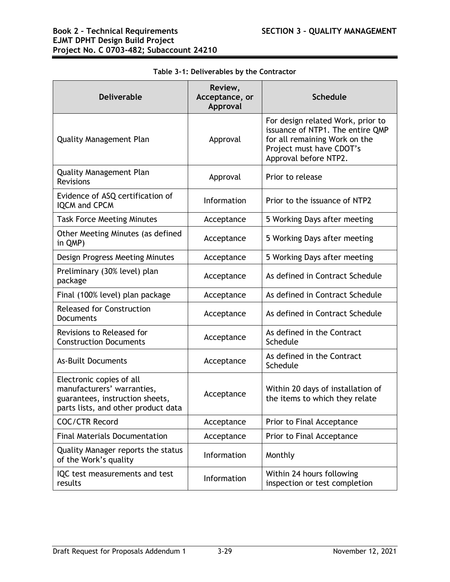| <b>Deliverable</b>                                                                                                               | Review,<br>Acceptance, or<br>Approval | <b>Schedule</b>                                                                                                                                             |
|----------------------------------------------------------------------------------------------------------------------------------|---------------------------------------|-------------------------------------------------------------------------------------------------------------------------------------------------------------|
| <b>Quality Management Plan</b>                                                                                                   | Approval                              | For design related Work, prior to<br>issuance of NTP1. The entire QMP<br>for all remaining Work on the<br>Project must have CDOT's<br>Approval before NTP2. |
| <b>Quality Management Plan</b><br><b>Revisions</b>                                                                               | Approval                              | Prior to release                                                                                                                                            |
| Evidence of ASQ certification of<br><b>IQCM and CPCM</b>                                                                         | Information                           | Prior to the issuance of NTP2                                                                                                                               |
| <b>Task Force Meeting Minutes</b>                                                                                                | Acceptance                            | 5 Working Days after meeting                                                                                                                                |
| Other Meeting Minutes (as defined<br>in QMP)                                                                                     | Acceptance                            | 5 Working Days after meeting                                                                                                                                |
| Design Progress Meeting Minutes                                                                                                  | Acceptance                            | 5 Working Days after meeting                                                                                                                                |
| Preliminary (30% level) plan<br>package                                                                                          | Acceptance                            | As defined in Contract Schedule                                                                                                                             |
| Final (100% level) plan package                                                                                                  | Acceptance                            | As defined in Contract Schedule                                                                                                                             |
| <b>Released for Construction</b><br>Documents                                                                                    | Acceptance                            | As defined in Contract Schedule                                                                                                                             |
| Revisions to Released for<br><b>Construction Documents</b>                                                                       | Acceptance                            | As defined in the Contract<br>Schedule                                                                                                                      |
| <b>As-Built Documents</b>                                                                                                        | Acceptance                            | As defined in the Contract<br>Schedule                                                                                                                      |
| Electronic copies of all<br>manufacturers' warranties,<br>guarantees, instruction sheets,<br>parts lists, and other product data | Acceptance                            | Within 20 days of installation of<br>the items to which they relate                                                                                         |
| <b>COC/CTR Record</b>                                                                                                            | Acceptance                            | Prior to Final Acceptance                                                                                                                                   |
| <b>Final Materials Documentation</b>                                                                                             | Acceptance                            | Prior to Final Acceptance                                                                                                                                   |
| Quality Manager reports the status<br>of the Work's quality                                                                      | Information                           | Monthly                                                                                                                                                     |
| IQC test measurements and test<br>results                                                                                        | Information                           | Within 24 hours following<br>inspection or test completion                                                                                                  |